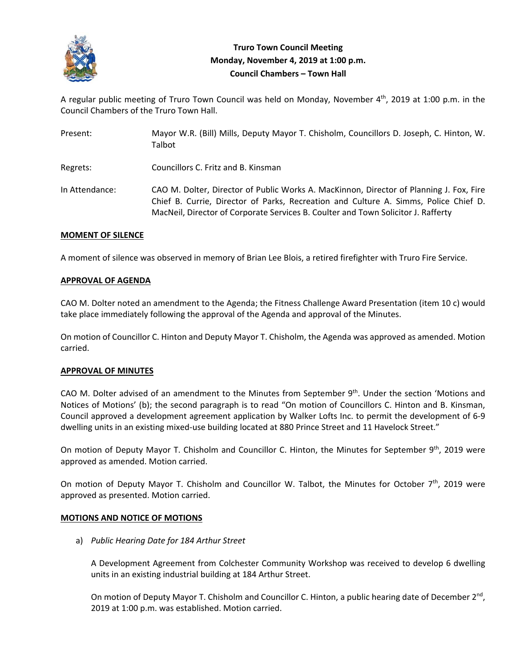

# **Truro Town Council Meeting Monday, November 4, 2019 at 1:00 p.m. Council Chambers – Town Hall**

A regular public meeting of Truro Town Council was held on Monday, November 4<sup>th</sup>, 2019 at 1:00 p.m. in the Council Chambers of the Truro Town Hall.

| Present:       | Mayor W.R. (Bill) Mills, Deputy Mayor T. Chisholm, Councillors D. Joseph, C. Hinton, W.<br>Talbot                                                                                                                                                                    |
|----------------|----------------------------------------------------------------------------------------------------------------------------------------------------------------------------------------------------------------------------------------------------------------------|
| Regrets:       | Councillors C. Fritz and B. Kinsman                                                                                                                                                                                                                                  |
| In Attendance: | CAO M. Dolter, Director of Public Works A. MacKinnon, Director of Planning J. Fox, Fire<br>Chief B. Currie, Director of Parks, Recreation and Culture A. Simms, Police Chief D.<br>MacNeil, Director of Corporate Services B. Coulter and Town Solicitor J. Rafferty |

## **MOMENT OF SILENCE**

A moment of silence was observed in memory of Brian Lee Blois, a retired firefighter with Truro Fire Service.

## **APPROVAL OF AGENDA**

CAO M. Dolter noted an amendment to the Agenda; the Fitness Challenge Award Presentation (item 10 c) would take place immediately following the approval of the Agenda and approval of the Minutes.

On motion of Councillor C. Hinton and Deputy Mayor T. Chisholm, the Agenda was approved as amended. Motion carried.

## **APPROVAL OF MINUTES**

CAO M. Dolter advised of an amendment to the Minutes from September 9<sup>th</sup>. Under the section 'Motions and Notices of Motions' (b); the second paragraph is to read "On motion of Councillors C. Hinton and B. Kinsman, Council approved a development agreement application by Walker Lofts Inc. to permit the development of 6‐9 dwelling units in an existing mixed-use building located at 880 Prince Street and 11 Havelock Street."

On motion of Deputy Mayor T. Chisholm and Councillor C. Hinton, the Minutes for September 9th, 2019 were approved as amended. Motion carried.

On motion of Deputy Mayor T. Chisholm and Councillor W. Talbot, the Minutes for October  $7<sup>th</sup>$ , 2019 were approved as presented. Motion carried.

## **MOTIONS AND NOTICE OF MOTIONS**

a) *Public Hearing Date for 184 Arthur Street*

A Development Agreement from Colchester Community Workshop was received to develop 6 dwelling units in an existing industrial building at 184 Arthur Street.

On motion of Deputy Mayor T. Chisholm and Councillor C. Hinton, a public hearing date of December  $2<sup>nd</sup>$ , 2019 at 1:00 p.m. was established. Motion carried.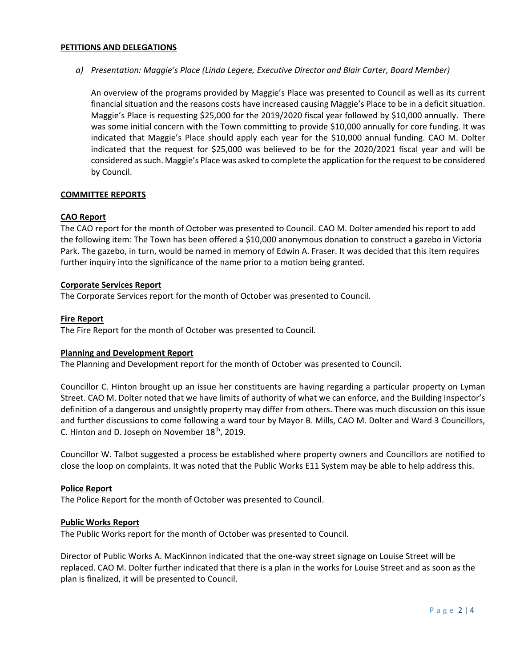## **PETITIONS AND DELEGATIONS**

## *a) Presentation: Maggie's Place (Linda Legere, Executive Director and Blair Carter, Board Member)*

An overview of the programs provided by Maggie's Place was presented to Council as well as its current financial situation and the reasons costs have increased causing Maggie's Place to be in a deficit situation. Maggie's Place is requesting \$25,000 for the 2019/2020 fiscal year followed by \$10,000 annually. There was some initial concern with the Town committing to provide \$10,000 annually for core funding. It was indicated that Maggie's Place should apply each year for the \$10,000 annual funding. CAO M. Dolter indicated that the request for \$25,000 was believed to be for the 2020/2021 fiscal year and will be considered as such. Maggie's Place was asked to complete the application for the request to be considered by Council.

## **COMMITTEE REPORTS**

## **CAO Report**

The CAO report for the month of October was presented to Council. CAO M. Dolter amended his report to add the following item: The Town has been offered a \$10,000 anonymous donation to construct a gazebo in Victoria Park. The gazebo, in turn, would be named in memory of Edwin A. Fraser. It was decided that this item requires further inquiry into the significance of the name prior to a motion being granted.

#### **Corporate Services Report**

The Corporate Services report for the month of October was presented to Council.

## **Fire Report**

The Fire Report for the month of October was presented to Council.

#### **Planning and Development Report**

The Planning and Development report for the month of October was presented to Council.

Councillor C. Hinton brought up an issue her constituents are having regarding a particular property on Lyman Street. CAO M. Dolter noted that we have limits of authority of what we can enforce, and the Building Inspector's definition of a dangerous and unsightly property may differ from others. There was much discussion on this issue and further discussions to come following a ward tour by Mayor B. Mills, CAO M. Dolter and Ward 3 Councillors, C. Hinton and D. Joseph on November 18<sup>th</sup>, 2019.

Councillor W. Talbot suggested a process be established where property owners and Councillors are notified to close the loop on complaints. It was noted that the Public Works E11 System may be able to help address this.

## **Police Report**

The Police Report for the month of October was presented to Council.

#### **Public Works Report**

The Public Works report for the month of October was presented to Council.

Director of Public Works A. MacKinnon indicated that the one‐way street signage on Louise Street will be replaced. CAO M. Dolter further indicated that there is a plan in the works for Louise Street and as soon as the plan is finalized, it will be presented to Council.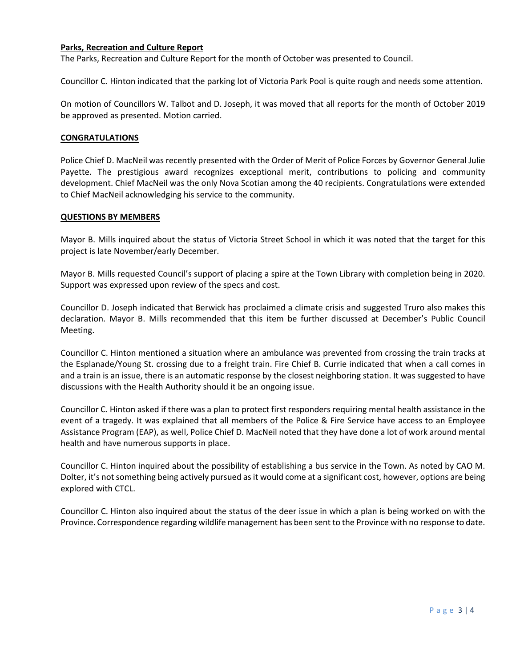## **Parks, Recreation and Culture Report**

The Parks, Recreation and Culture Report for the month of October was presented to Council.

Councillor C. Hinton indicated that the parking lot of Victoria Park Pool is quite rough and needs some attention.

On motion of Councillors W. Talbot and D. Joseph, it was moved that all reports for the month of October 2019 be approved as presented. Motion carried.

## **CONGRATULATIONS**

Police Chief D. MacNeil was recently presented with the Order of Merit of Police Forces by Governor General Julie Payette. The prestigious award recognizes exceptional merit, contributions to policing and community development. Chief MacNeil was the only Nova Scotian among the 40 recipients. Congratulations were extended to Chief MacNeil acknowledging his service to the community.

#### **QUESTIONS BY MEMBERS**

Mayor B. Mills inquired about the status of Victoria Street School in which it was noted that the target for this project is late November/early December.

Mayor B. Mills requested Council's support of placing a spire at the Town Library with completion being in 2020. Support was expressed upon review of the specs and cost.

Councillor D. Joseph indicated that Berwick has proclaimed a climate crisis and suggested Truro also makes this declaration. Mayor B. Mills recommended that this item be further discussed at December's Public Council Meeting.

Councillor C. Hinton mentioned a situation where an ambulance was prevented from crossing the train tracks at the Esplanade/Young St. crossing due to a freight train. Fire Chief B. Currie indicated that when a call comes in and a train is an issue, there is an automatic response by the closest neighboring station. It was suggested to have discussions with the Health Authority should it be an ongoing issue.

Councillor C. Hinton asked if there was a plan to protect first responders requiring mental health assistance in the event of a tragedy. It was explained that all members of the Police & Fire Service have access to an Employee Assistance Program (EAP), as well, Police Chief D. MacNeil noted that they have done a lot of work around mental health and have numerous supports in place.

Councillor C. Hinton inquired about the possibility of establishing a bus service in the Town. As noted by CAO M. Dolter, it's not something being actively pursued as it would come at a significant cost, however, options are being explored with CTCL.

Councillor C. Hinton also inquired about the status of the deer issue in which a plan is being worked on with the Province. Correspondence regarding wildlife management has been sent to the Province with no response to date.